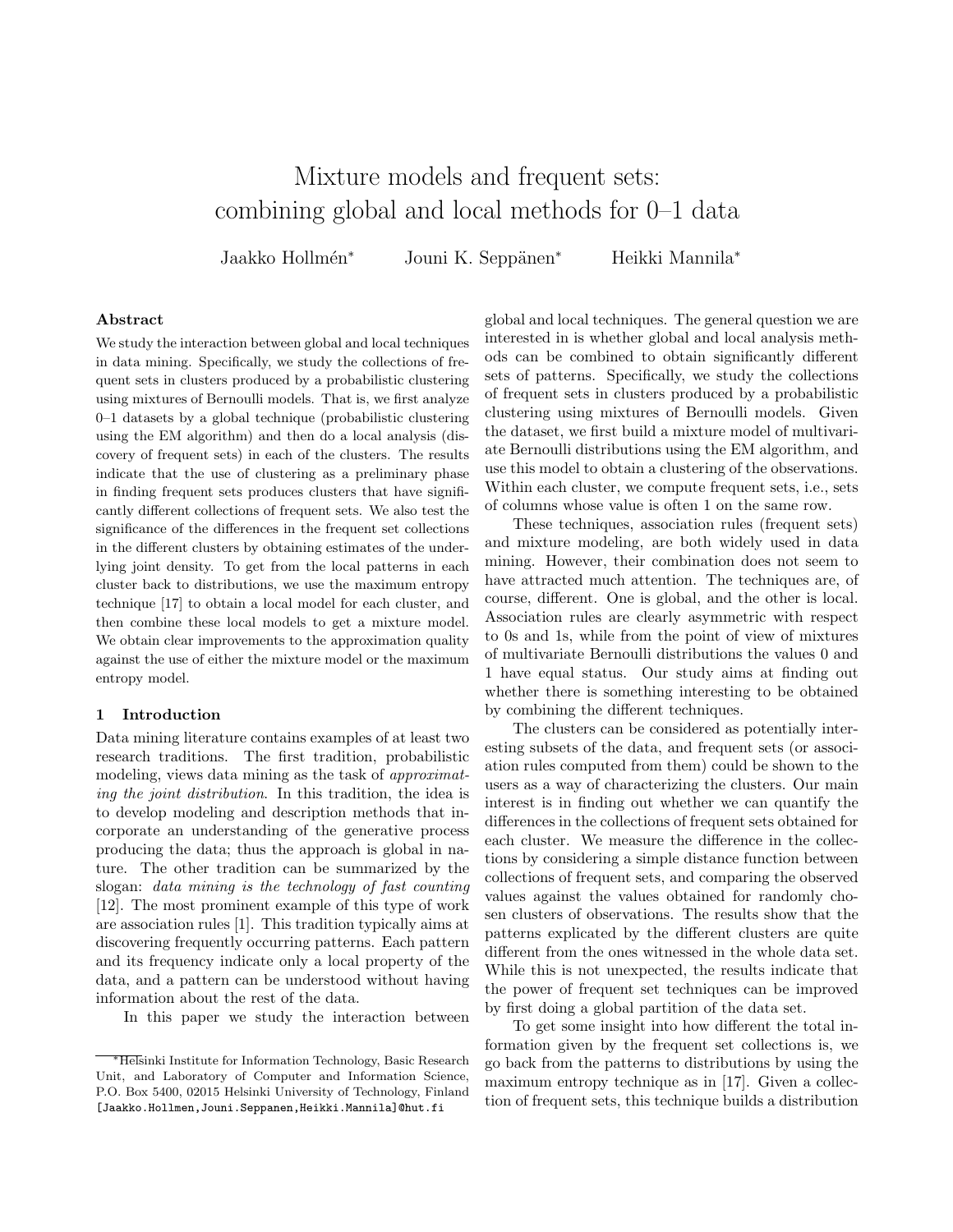# Mixture models and frequent sets: combining global and local methods for 0–1 data

Jaakko Hollmén<sup>∗</sup> Jouni K. Seppänen<sup>∗</sup> Heikki Mannila<sup>∗</sup>

#### Abstract

We study the interaction between global and local techniques in data mining. Specifically, we study the collections of frequent sets in clusters produced by a probabilistic clustering using mixtures of Bernoulli models. That is, we first analyze 0–1 datasets by a global technique (probabilistic clustering using the EM algorithm) and then do a local analysis (discovery of frequent sets) in each of the clusters. The results indicate that the use of clustering as a preliminary phase in finding frequent sets produces clusters that have significantly different collections of frequent sets. We also test the significance of the differences in the frequent set collections in the different clusters by obtaining estimates of the underlying joint density. To get from the local patterns in each cluster back to distributions, we use the maximum entropy technique [17] to obtain a local model for each cluster, and then combine these local models to get a mixture model. We obtain clear improvements to the approximation quality against the use of either the mixture model or the maximum entropy model.

## 1 Introduction

Data mining literature contains examples of at least two research traditions. The first tradition, probabilistic modeling, views data mining as the task of approximating the joint distribution. In this tradition, the idea is to develop modeling and description methods that incorporate an understanding of the generative process producing the data; thus the approach is global in nature. The other tradition can be summarized by the slogan: data mining is the technology of fast counting [12]. The most prominent example of this type of work are association rules [1]. This tradition typically aims at discovering frequently occurring patterns. Each pattern and its frequency indicate only a local property of the data, and a pattern can be understood without having information about the rest of the data.

In this paper we study the interaction between

global and local techniques. The general question we are interested in is whether global and local analysis methods can be combined to obtain significantly different sets of patterns. Specifically, we study the collections of frequent sets in clusters produced by a probabilistic clustering using mixtures of Bernoulli models. Given the dataset, we first build a mixture model of multivariate Bernoulli distributions using the EM algorithm, and use this model to obtain a clustering of the observations. Within each cluster, we compute frequent sets, i.e., sets of columns whose value is often 1 on the same row.

These techniques, association rules (frequent sets) and mixture modeling, are both widely used in data mining. However, their combination does not seem to have attracted much attention. The techniques are, of course, different. One is global, and the other is local. Association rules are clearly asymmetric with respect to 0s and 1s, while from the point of view of mixtures of multivariate Bernoulli distributions the values 0 and 1 have equal status. Our study aims at finding out whether there is something interesting to be obtained by combining the different techniques.

The clusters can be considered as potentially interesting subsets of the data, and frequent sets (or association rules computed from them) could be shown to the users as a way of characterizing the clusters. Our main interest is in finding out whether we can quantify the differences in the collections of frequent sets obtained for each cluster. We measure the difference in the collections by considering a simple distance function between collections of frequent sets, and comparing the observed values against the values obtained for randomly chosen clusters of observations. The results show that the patterns explicated by the different clusters are quite different from the ones witnessed in the whole data set. While this is not unexpected, the results indicate that the power of frequent set techniques can be improved by first doing a global partition of the data set.

To get some insight into how different the total information given by the frequent set collections is, we go back from the patterns to distributions by using the maximum entropy technique as in [17]. Given a collection of frequent sets, this technique builds a distribution

<sup>∗</sup>Helsinki Institute for Information Technology, Basic Research Unit, and Laboratory of Computer and Information Science, P.O. Box 5400, 02015 Helsinki University of Technology, Finland [Jaakko.Hollmen,Jouni.Seppanen,Heikki.Mannila]@hut.fi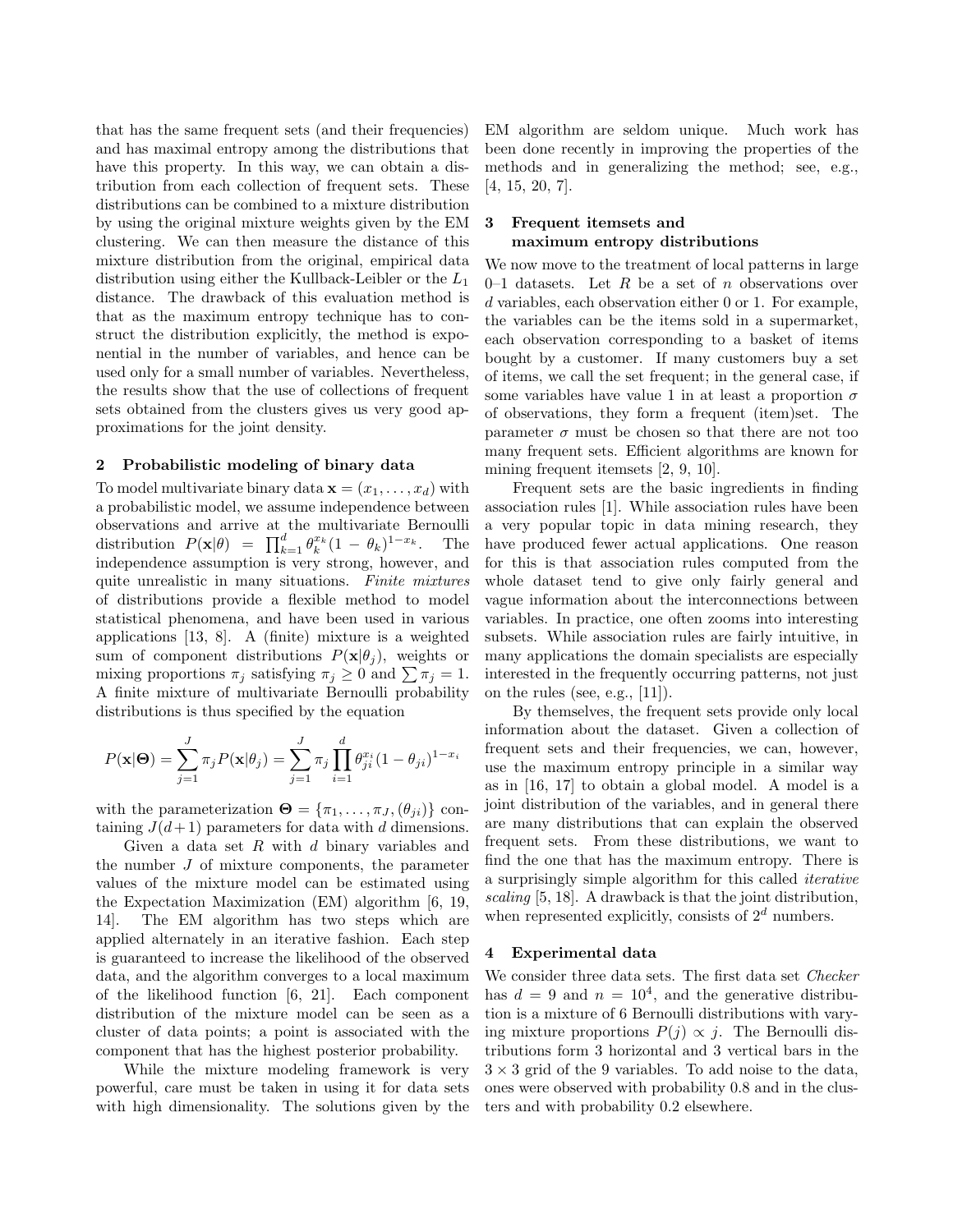that has the same frequent sets (and their frequencies) and has maximal entropy among the distributions that have this property. In this way, we can obtain a distribution from each collection of frequent sets. These distributions can be combined to a mixture distribution by using the original mixture weights given by the EM clustering. We can then measure the distance of this mixture distribution from the original, empirical data distribution using either the Kullback-Leibler or the  $L_1$ distance. The drawback of this evaluation method is that as the maximum entropy technique has to construct the distribution explicitly, the method is exponential in the number of variables, and hence can be used only for a small number of variables. Nevertheless, the results show that the use of collections of frequent sets obtained from the clusters gives us very good approximations for the joint density.

#### 2 Probabilistic modeling of binary data

To model multivariate binary data  $\mathbf{x} = (x_1, \dots, x_d)$  with a probabilistic model, we assume independence between observations and arrive at the multivariate Bernoulli distribution  $P(\mathbf{x}|\theta) = \prod_{k=1}^d \theta_k^{x_k} (1 - \theta_k)^{1 - x_k}$ . The independence assumption is very strong, however, and quite unrealistic in many situations. Finite mixtures of distributions provide a flexible method to model statistical phenomena, and have been used in various applications [13, 8]. A (finite) mixture is a weighted sum of component distributions  $P(\mathbf{x}|\theta_i)$ , weights or mixing proportions  $\pi_j$  satisfying  $\pi_j \geq 0$  and  $\sum \pi_j = 1$ . A finite mixture of multivariate Bernoulli probability distributions is thus specified by the equation

$$
P(\mathbf{x}|\mathbf{\Theta}) = \sum_{j=1}^{J} \pi_j P(\mathbf{x}|\theta_j) = \sum_{j=1}^{J} \pi_j \prod_{i=1}^{d} \theta_{ji}^{x_i} (1 - \theta_{ji})^{1 - x_i}
$$

with the parameterization  $\mathbf{\Theta} = {\pi_1, \ldots, \pi_J, (\theta_{ji})}$  containing  $J(d+1)$  parameters for data with d dimensions.

Given a data set  $R$  with  $d$  binary variables and the number  $J$  of mixture components, the parameter values of the mixture model can be estimated using the Expectation Maximization (EM) algorithm [6, 19, 14]. The EM algorithm has two steps which are applied alternately in an iterative fashion. Each step is guaranteed to increase the likelihood of the observed data, and the algorithm converges to a local maximum of the likelihood function [6, 21]. Each component distribution of the mixture model can be seen as a cluster of data points; a point is associated with the component that has the highest posterior probability.

While the mixture modeling framework is very powerful, care must be taken in using it for data sets with high dimensionality. The solutions given by the EM algorithm are seldom unique. Much work has been done recently in improving the properties of the methods and in generalizing the method; see, e.g., [4, 15, 20, 7].

## 3 Frequent itemsets and maximum entropy distributions

We now move to the treatment of local patterns in large 0–1 datasets. Let R be a set of n observations over d variables, each observation either 0 or 1. For example, the variables can be the items sold in a supermarket, each observation corresponding to a basket of items bought by a customer. If many customers buy a set of items, we call the set frequent; in the general case, if some variables have value 1 in at least a proportion  $\sigma$ of observations, they form a frequent (item)set. The parameter  $\sigma$  must be chosen so that there are not too many frequent sets. Efficient algorithms are known for mining frequent itemsets [2, 9, 10].

Frequent sets are the basic ingredients in finding association rules [1]. While association rules have been a very popular topic in data mining research, they have produced fewer actual applications. One reason for this is that association rules computed from the whole dataset tend to give only fairly general and vague information about the interconnections between variables. In practice, one often zooms into interesting subsets. While association rules are fairly intuitive, in many applications the domain specialists are especially interested in the frequently occurring patterns, not just on the rules (see, e.g., [11]).

By themselves, the frequent sets provide only local information about the dataset. Given a collection of frequent sets and their frequencies, we can, however, use the maximum entropy principle in a similar way as in [16, 17] to obtain a global model. A model is a joint distribution of the variables, and in general there are many distributions that can explain the observed frequent sets. From these distributions, we want to find the one that has the maximum entropy. There is a surprisingly simple algorithm for this called iterative scaling [5, 18]. A drawback is that the joint distribution, when represented explicitly, consists of  $2^d$  numbers.

# 4 Experimental data

We consider three data sets. The first data set Checker has  $d = 9$  and  $n = 10<sup>4</sup>$ , and the generative distribution is a mixture of 6 Bernoulli distributions with varying mixture proportions  $P(j) \propto j$ . The Bernoulli distributions form 3 horizontal and 3 vertical bars in the  $3 \times 3$  grid of the 9 variables. To add noise to the data, ones were observed with probability 0.8 and in the clusters and with probability 0.2 elsewhere.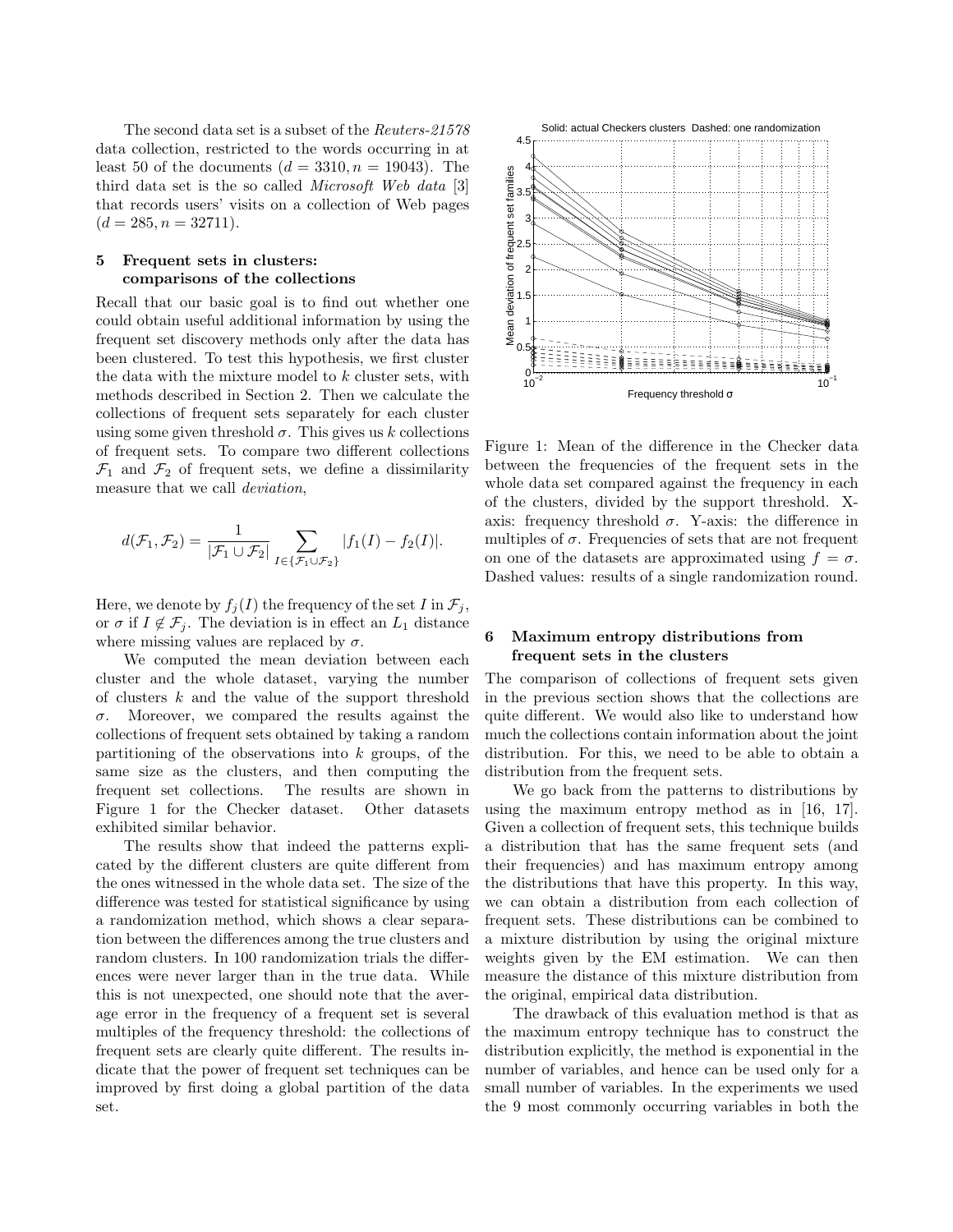The second data set is a subset of the Reuters-21578 data collection, restricted to the words occurring in at least 50 of the documents  $(d = 3310, n = 19043)$ . The third data set is the so called Microsoft Web data [3] that records users' visits on a collection of Web pages  $(d = 285, n = 32711).$ 

## 5 Frequent sets in clusters: comparisons of the collections

Recall that our basic goal is to find out whether one could obtain useful additional information by using the frequent set discovery methods only after the data has been clustered. To test this hypothesis, we first cluster the data with the mixture model to k cluster sets, with methods described in Section 2. Then we calculate the collections of frequent sets separately for each cluster using some given threshold  $\sigma$ . This gives us k collections of frequent sets. To compare two different collections  $\mathcal{F}_1$  and  $\mathcal{F}_2$  of frequent sets, we define a dissimilarity measure that we call deviation,

$$
d(\mathcal{F}_1, \mathcal{F}_2) = \frac{1}{|\mathcal{F}_1 \cup \mathcal{F}_2|} \sum_{I \in \{\mathcal{F}_1 \cup \mathcal{F}_2\}} |f_1(I) - f_2(I)|.
$$

Here, we denote by  $f_i(I)$  the frequency of the set I in  $\mathcal{F}_i$ , or  $\sigma$  if  $I \notin \mathcal{F}_i$ . The deviation is in effect an  $L_1$  distance where missing values are replaced by  $\sigma$ .

We computed the mean deviation between each cluster and the whole dataset, varying the number of clusters k and the value of the support threshold  $\sigma$ . Moreover, we compared the results against the collections of frequent sets obtained by taking a random partitioning of the observations into  $k$  groups, of the same size as the clusters, and then computing the frequent set collections. The results are shown in Figure 1 for the Checker dataset. Other datasets exhibited similar behavior.

The results show that indeed the patterns explicated by the different clusters are quite different from the ones witnessed in the whole data set. The size of the difference was tested for statistical significance by using a randomization method, which shows a clear separation between the differences among the true clusters and random clusters. In 100 randomization trials the differences were never larger than in the true data. While this is not unexpected, one should note that the average error in the frequency of a frequent set is several multiples of the frequency threshold: the collections of frequent sets are clearly quite different. The results indicate that the power of frequent set techniques can be improved by first doing a global partition of the data set.



Figure 1: Mean of the difference in the Checker data between the frequencies of the frequent sets in the whole data set compared against the frequency in each of the clusters, divided by the support threshold. Xaxis: frequency threshold  $\sigma$ . Y-axis: the difference in multiples of  $\sigma$ . Frequencies of sets that are not frequent on one of the datasets are approximated using  $f = \sigma$ . Dashed values: results of a single randomization round.

# 6 Maximum entropy distributions from frequent sets in the clusters

The comparison of collections of frequent sets given in the previous section shows that the collections are quite different. We would also like to understand how much the collections contain information about the joint distribution. For this, we need to be able to obtain a distribution from the frequent sets.

We go back from the patterns to distributions by using the maximum entropy method as in [16, 17]. Given a collection of frequent sets, this technique builds a distribution that has the same frequent sets (and their frequencies) and has maximum entropy among the distributions that have this property. In this way, we can obtain a distribution from each collection of frequent sets. These distributions can be combined to a mixture distribution by using the original mixture weights given by the EM estimation. We can then measure the distance of this mixture distribution from the original, empirical data distribution.

The drawback of this evaluation method is that as the maximum entropy technique has to construct the distribution explicitly, the method is exponential in the number of variables, and hence can be used only for a small number of variables. In the experiments we used the 9 most commonly occurring variables in both the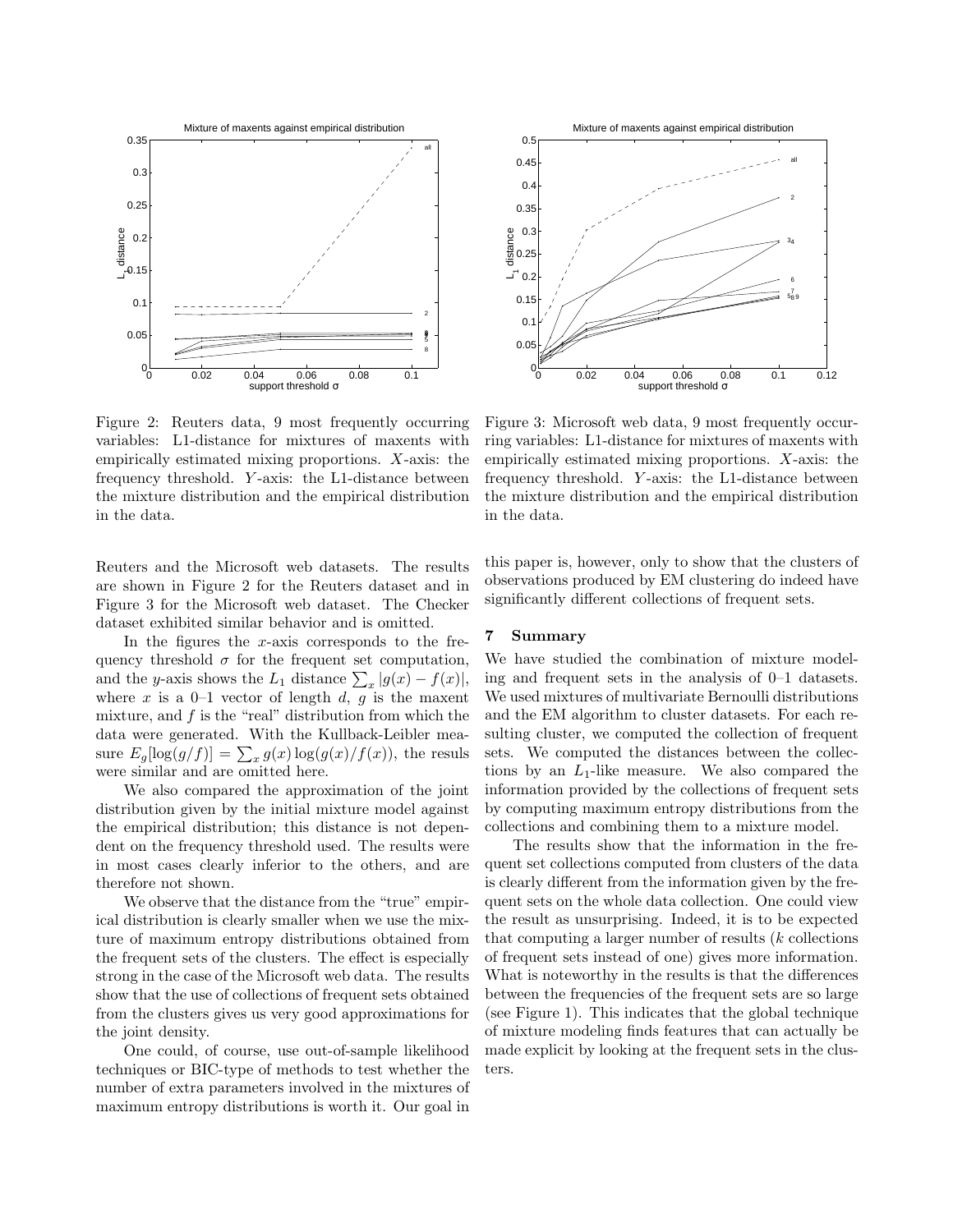

Figure 2: Reuters data, 9 most frequently occurring variables: L1-distance for mixtures of maxents with empirically estimated mixing proportions. X-axis: the frequency threshold. Y -axis: the L1-distance between the mixture distribution and the empirical distribution in the data.

Reuters and the Microsoft web datasets. The results are shown in Figure 2 for the Reuters dataset and in Figure 3 for the Microsoft web dataset. The Checker dataset exhibited similar behavior and is omitted.

In the figures the  $x$ -axis corresponds to the frequency threshold  $\sigma$  for the frequent set computation, and the y-axis shows the  $L_1$  distance  $\sum_x |g(x) - f(x)|$ , where x is a  $0-1$  vector of length d, g is the maxent mixture, and  $f$  is the "real" distribution from which the data were generated. With the Kullback-Leibler measure  $E_g[log(g/f)] = \sum_x g(x)log(g(x)/f(x))$ , the resuls were similar and are omitted here.

We also compared the approximation of the joint distribution given by the initial mixture model against the empirical distribution; this distance is not dependent on the frequency threshold used. The results were in most cases clearly inferior to the others, and are therefore not shown.

We observe that the distance from the "true" empirical distribution is clearly smaller when we use the mixture of maximum entropy distributions obtained from the frequent sets of the clusters. The effect is especially strong in the case of the Microsoft web data. The results show that the use of collections of frequent sets obtained from the clusters gives us very good approximations for the joint density.

One could, of course, use out-of-sample likelihood techniques or BIC-type of methods to test whether the number of extra parameters involved in the mixtures of maximum entropy distributions is worth it. Our goal in



Figure 3: Microsoft web data, 9 most frequently occurring variables: L1-distance for mixtures of maxents with empirically estimated mixing proportions. X-axis: the frequency threshold. Y -axis: the L1-distance between the mixture distribution and the empirical distribution in the data.

this paper is, however, only to show that the clusters of observations produced by EM clustering do indeed have significantly different collections of frequent sets.

#### 7 Summary

We have studied the combination of mixture modeling and frequent sets in the analysis of 0–1 datasets. We used mixtures of multivariate Bernoulli distributions and the EM algorithm to cluster datasets. For each resulting cluster, we computed the collection of frequent sets. We computed the distances between the collections by an  $L_1$ -like measure. We also compared the information provided by the collections of frequent sets by computing maximum entropy distributions from the collections and combining them to a mixture model.

The results show that the information in the frequent set collections computed from clusters of the data is clearly different from the information given by the frequent sets on the whole data collection. One could view the result as unsurprising. Indeed, it is to be expected that computing a larger number of results  $(k \text{ collections})$ of frequent sets instead of one) gives more information. What is noteworthy in the results is that the differences between the frequencies of the frequent sets are so large (see Figure 1). This indicates that the global technique of mixture modeling finds features that can actually be made explicit by looking at the frequent sets in the clusters.